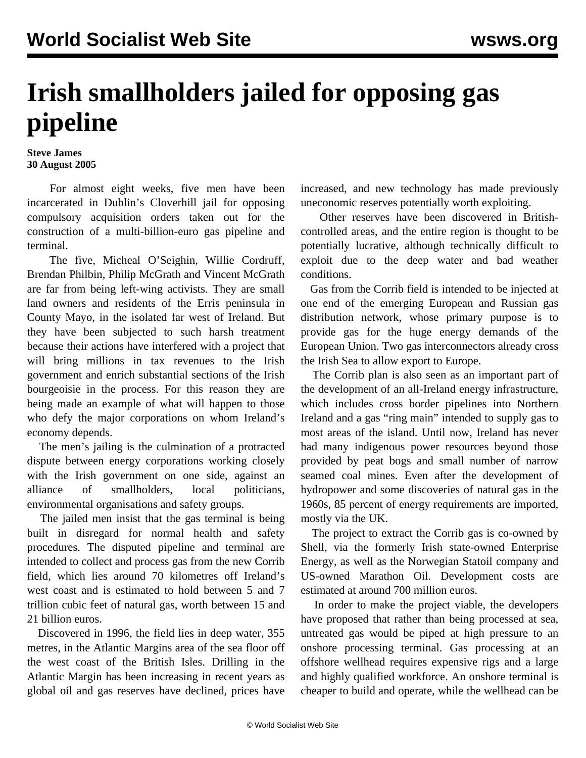## **Irish smallholders jailed for opposing gas pipeline**

## **Steve James 30 August 2005**

 For almost eight weeks, five men have been incarcerated in Dublin's Cloverhill jail for opposing compulsory acquisition orders taken out for the construction of a multi-billion-euro gas pipeline and terminal.

 The five, Micheal O'Seighin, Willie Cordruff, Brendan Philbin, Philip McGrath and Vincent McGrath are far from being left-wing activists. They are small land owners and residents of the Erris peninsula in County Mayo, in the isolated far west of Ireland. But they have been subjected to such harsh treatment because their actions have interfered with a project that will bring millions in tax revenues to the Irish government and enrich substantial sections of the Irish bourgeoisie in the process. For this reason they are being made an example of what will happen to those who defy the major corporations on whom Ireland's economy depends.

 The men's jailing is the culmination of a protracted dispute between energy corporations working closely with the Irish government on one side, against an alliance of smallholders, local politicians, environmental organisations and safety groups.

 The jailed men insist that the gas terminal is being built in disregard for normal health and safety procedures. The disputed pipeline and terminal are intended to collect and process gas from the new Corrib field, which lies around 70 kilometres off Ireland's west coast and is estimated to hold between 5 and 7 trillion cubic feet of natural gas, worth between 15 and 21 billion euros.

 Discovered in 1996, the field lies in deep water, 355 metres, in the Atlantic Margins area of the sea floor off the west coast of the British Isles. Drilling in the Atlantic Margin has been increasing in recent years as global oil and gas reserves have declined, prices have increased, and new technology has made previously uneconomic reserves potentially worth exploiting.

 Other reserves have been discovered in Britishcontrolled areas, and the entire region is thought to be potentially lucrative, although technically difficult to exploit due to the deep water and bad weather conditions.

 Gas from the Corrib field is intended to be injected at one end of the emerging European and Russian gas distribution network, whose primary purpose is to provide gas for the huge energy demands of the European Union. Two gas interconnectors already cross the Irish Sea to allow export to Europe.

 The Corrib plan is also seen as an important part of the development of an all-Ireland energy infrastructure, which includes cross border pipelines into Northern Ireland and a gas "ring main" intended to supply gas to most areas of the island. Until now, Ireland has never had many indigenous power resources beyond those provided by peat bogs and small number of narrow seamed coal mines. Even after the development of hydropower and some discoveries of natural gas in the 1960s, 85 percent of energy requirements are imported, mostly via the UK.

 The project to extract the Corrib gas is co-owned by Shell, via the formerly Irish state-owned Enterprise Energy, as well as the Norwegian Statoil company and US-owned Marathon Oil. Development costs are estimated at around 700 million euros.

 In order to make the project viable, the developers have proposed that rather than being processed at sea, untreated gas would be piped at high pressure to an onshore processing terminal. Gas processing at an offshore wellhead requires expensive rigs and a large and highly qualified workforce. An onshore terminal is cheaper to build and operate, while the wellhead can be